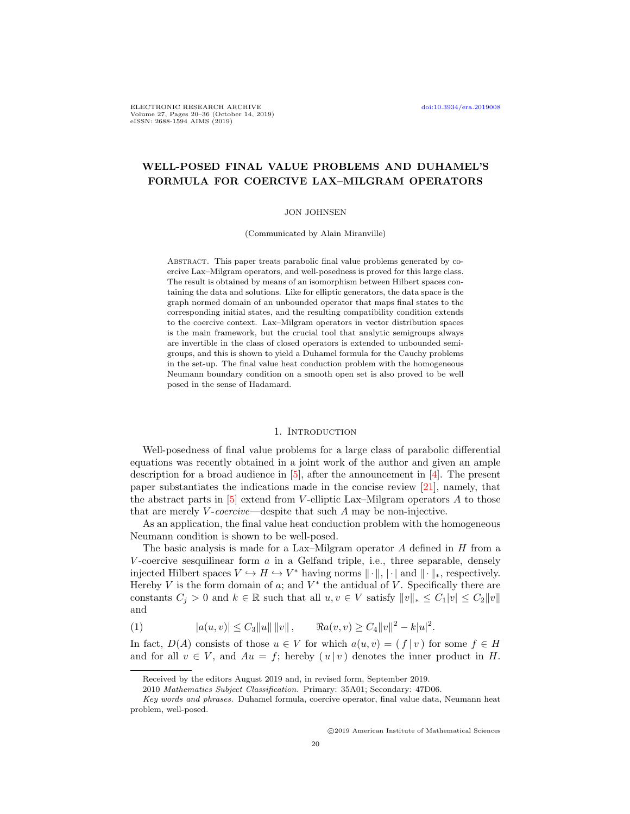ELECTRONIC RESEARCH ARCHIVE [doi:10.3934/era.2019008](http://dx.doi.org/10.3934/era.2019008) Volume 27, Pages 20–36 (October 14, 2019) eISSN: 2688-1594 AIMS (2019)

# WELL-POSED FINAL VALUE PROBLEMS AND DUHAMEL'S FORMULA FOR COERCIVE LAX–MILGRAM OPERATORS

# JON JOHNSEN

(Communicated by Alain Miranville)

Abstract. This paper treats parabolic final value problems generated by coercive Lax–Milgram operators, and well-posedness is proved for this large class. The result is obtained by means of an isomorphism between Hilbert spaces containing the data and solutions. Like for elliptic generators, the data space is the graph normed domain of an unbounded operator that maps final states to the corresponding initial states, and the resulting compatibility condition extends to the coercive context. Lax–Milgram operators in vector distribution spaces is the main framework, but the crucial tool that analytic semigroups always are invertible in the class of closed operators is extended to unbounded semigroups, and this is shown to yield a Duhamel formula for the Cauchy problems in the set-up. The final value heat conduction problem with the homogeneous Neumann boundary condition on a smooth open set is also proved to be well posed in the sense of Hadamard.

#### 1. INTRODUCTION

Well-posedness of final value problems for a large class of parabolic differential equations was recently obtained in a joint work of the author and given an ample description for a broad audience in [\[5\]](#page-15-0), after the announcement in [\[4\]](#page-15-1). The present paper substantiates the indications made in the concise review [\[21\]](#page-16-0), namely, that the abstract parts in  $[5]$  extend from V-elliptic Lax–Milgram operators A to those that are merely  $V\text{-}coercive$ —despite that such A may be non-injective.

As an application, the final value heat conduction problem with the homogeneous Neumann condition is shown to be well-posed.

The basic analysis is made for a Lax–Milgram operator  $A$  defined in  $H$  from a V-coercive sesquilinear form  $\alpha$  in a Gelfand triple, i.e., three separable, densely injected Hilbert spaces  $V \hookrightarrow H \hookrightarrow V^*$  having norms  $\|\cdot\|$ ,  $|\cdot|$  and  $\|\cdot\|_*$ , respectively. Hereby  $V$  is the form domain of  $a$ ; and  $V^*$  the antidual of  $V$ . Specifically there are constants  $C_j > 0$  and  $k \in \mathbb{R}$  such that all  $u, v \in V$  satisfy  $||v||_* \leq C_1|v| \leq C_2||v||$ and

<span id="page-0-0"></span>(1) 
$$
|a(u,v)| \leq C_3 ||u|| \, ||v||, \qquad \Re a(v,v) \geq C_4 ||v||^2 - k |u|^2.
$$

In fact,  $D(A)$  consists of those  $u \in V$  for which  $a(u, v) = (f | v)$  for some  $f \in H$ and for all  $v \in V$ , and  $Au = f$ ; hereby  $(u | v)$  denotes the inner product in H.

c 2019 American Institute of Mathematical Sciences

Received by the editors August 2019 and, in revised form, September 2019.

<sup>2010</sup> Mathematics Subject Classification. Primary: 35A01; Secondary: 47D06.

Key words and phrases. Duhamel formula, coercive operator, final value data, Neumann heat problem, well-posed.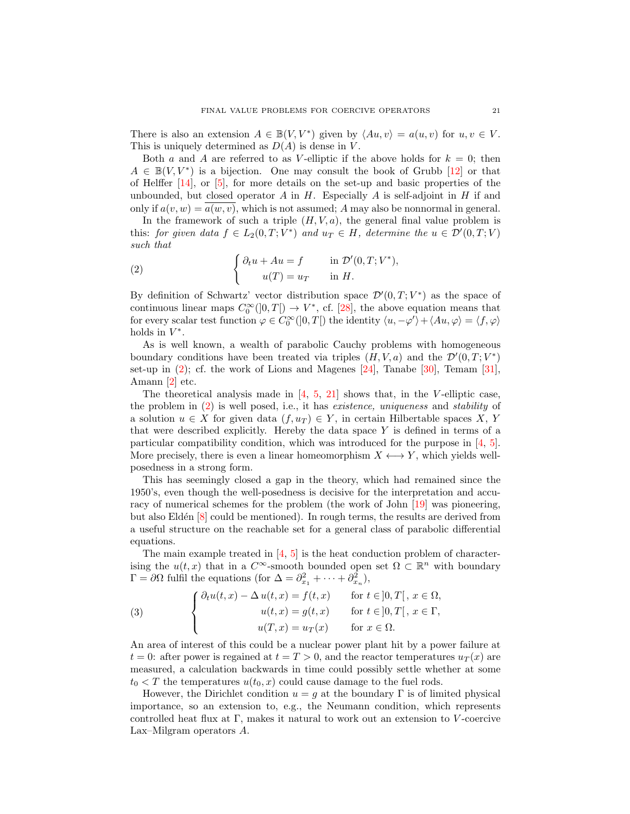There is also an extension  $A \in \mathbb{B}(V, V^*)$  given by  $\langle Au, v \rangle = a(u, v)$  for  $u, v \in V$ . This is uniquely determined as  $D(A)$  is dense in V.

Both a and A are referred to as V-elliptic if the above holds for  $k = 0$ ; then  $A \in \mathbb{B}(V, V^*)$  is a bijection. One may consult the book of Grubb [\[12\]](#page-15-2) or that of Helffer [\[14\]](#page-15-3), or [\[5\]](#page-15-0), for more details on the set-up and basic properties of the unbounded, but closed operator  $A$  in  $H$ . Especially  $A$  is self-adjoint in  $H$  if and only if  $a(v, w) = a(w, v)$ , which is not assumed; A may also be nonnormal in general.

In the framework of such a triple  $(H, V, a)$ , the general final value problem is this: for given data  $f \in L_2(0,T;V^*)$  and  $u_T \in H$ , determine the  $u \in \mathcal{D}'(0,T;V)$ such that

<span id="page-1-0"></span>(2) 
$$
\begin{cases} \partial_t u + Au = f & \text{in } \mathcal{D}'(0,T;V^*), \\ u(T) = u_T & \text{in } H. \end{cases}
$$

By definition of Schwartz' vector distribution space  $\mathcal{D}'(0,T;V^*)$  as the space of continuous linear maps  $C_0^{\infty}([0,T]) \to V^*$ , cf. [\[28\]](#page-16-1), the above equation means that for every scalar test function  $\varphi \in C_0^{\infty}(]0,T[)$  the identity  $\langle u, -\varphi' \rangle + \langle Au, \varphi \rangle = \langle f, \varphi \rangle$ holds in  $V^*$ .

As is well known, a wealth of parabolic Cauchy problems with homogeneous boundary conditions have been treated via triples  $(H, V, a)$  and the  $\mathcal{D}'(0, T; V^*)$ set-up in  $(2)$ ; cf. the work of Lions and Magenes  $[24]$ , Tanabe  $[30]$ , Temam  $[31]$ , Amann [\[2\]](#page-15-4) etc.

The theoretical analysis made in  $[4, 5, 21]$  $[4, 5, 21]$  $[4, 5, 21]$  $[4, 5, 21]$  shows that, in the V-elliptic case, the problem in [\(2\)](#page-1-0) is well posed, i.e., it has existence, uniqueness and stability of a solution  $u \in X$  for given data  $(f, u_T) \in Y$ , in certain Hilbertable spaces X, Y that were described explicitly. Hereby the data space  $Y$  is defined in terms of a particular compatibility condition, which was introduced for the purpose in [\[4,](#page-15-1) [5\]](#page-15-0). More precisely, there is even a linear homeomorphism  $X \leftrightarrow Y$ , which yields wellposedness in a strong form.

This has seemingly closed a gap in the theory, which had remained since the 1950's, even though the well-posedness is decisive for the interpretation and accuracy of numerical schemes for the problem (the work of John [\[19\]](#page-15-5) was pioneering, but also Eldén  $|8|$  could be mentioned). In rough terms, the results are derived from a useful structure on the reachable set for a general class of parabolic differential equations.

The main example treated in [\[4,](#page-15-1) [5\]](#page-15-0) is the heat conduction problem of characterising the  $u(t, x)$  that in a  $C^{\infty}$ -smooth bounded open set  $\Omega \subset \mathbb{R}^n$  with boundary  $\Gamma = \partial \Omega$  fulfil the equations (for  $\Delta = \partial_{x_1}^2 + \cdots + \partial_{x_n}^2$ ),

<span id="page-1-1"></span>(3) 
$$
\begin{cases} \partial_t u(t,x) - \Delta u(t,x) = f(t,x) & \text{for } t \in ]0,T[, x \in \Omega, \\ u(t,x) = g(t,x) & \text{for } t \in ]0,T[, x \in \Gamma, \\ u(T,x) = u_T(x) & \text{for } x \in \Omega. \end{cases}
$$

An area of interest of this could be a nuclear power plant hit by a power failure at  $t = 0$ : after power is regained at  $t = T > 0$ , and the reactor temperatures  $u_T(x)$  are measured, a calculation backwards in time could possibly settle whether at some  $t_0 < T$  the temperatures  $u(t_0, x)$  could cause damage to the fuel rods.

However, the Dirichlet condition  $u = g$  at the boundary  $\Gamma$  is of limited physical importance, so an extension to, e.g., the Neumann condition, which represents controlled heat flux at  $\Gamma$ , makes it natural to work out an extension to V-coercive Lax–Milgram operators A.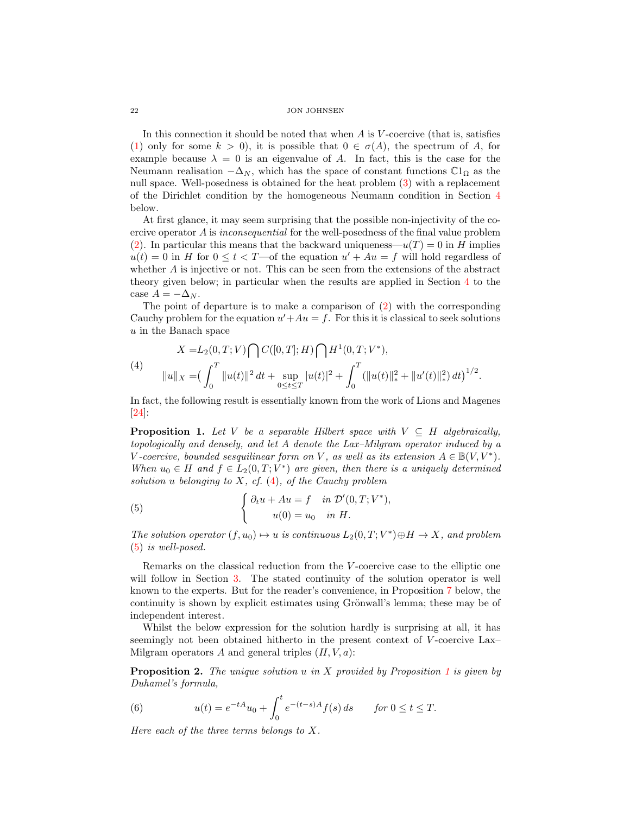In this connection it should be noted that when  $A$  is  $V$ -coercive (that is, satisfies [\(1\)](#page-0-0) only for some  $k > 0$ , it is possible that  $0 \in \sigma(A)$ , the spectrum of A, for example because  $\lambda = 0$  is an eigenvalue of A. In fact, this is the case for the Neumann realisation  $-\Delta_N$ , which has the space of constant functions  $\mathbb{C}1_{\Omega}$  as the null space. Well-posedness is obtained for the heat problem [\(3\)](#page-1-1) with a replacement of the Dirichlet condition by the homogeneous Neumann condition in Section [4](#page-12-0) below.

At first glance, it may seem surprising that the possible non-injectivity of the coercive operator A is *inconsequential* for the well-posedness of the final value problem [\(2\)](#page-1-0). In particular this means that the backward uniqueness— $u(T) = 0$  in H implies  $u(t) = 0$  in H for  $0 \le t < T$ —of the equation  $u' + Au = f$  will hold regardless of whether  $A$  is injective or not. This can be seen from the extensions of the abstract theory given below; in particular when the results are applied in Section [4](#page-12-0) to the case  $A = -\Delta_N$ .

The point of departure is to make a comparison of  $(2)$  with the corresponding Cauchy problem for the equation  $u' + Au = f$ . For this it is classical to seek solutions u in the Banach space

<span id="page-2-0"></span>(4)  
\n
$$
X = L_2(0, T; V) \bigcap C([0, T]; H) \bigcap H^1(0, T; V^*),
$$
\n
$$
||u||_X = \left(\int_0^T ||u(t)||^2 dt + \sup_{0 \le t \le T} |u(t)|^2 + \int_0^T (||u(t)||_*^2 + ||u'(t)||_*^2) dt\right)^{1/2}.
$$

In fact, the following result is essentially known from the work of Lions and Magenes [\[24\]](#page-16-2):

<span id="page-2-2"></span>**Proposition 1.** Let V be a separable Hilbert space with  $V \subseteq H$  algebraically, topologically and densely, and let A denote the Lax–Milgram operator induced by a V-coercive, bounded sesquilinear form on V, as well as its extension  $A \in \mathbb{B}(V, V^*)$ . When  $u_0 \in H$  and  $f \in L_2(0,T;V^*)$  are given, then there is a uniquely determined solution u belonging to  $X$ , cf.  $(4)$ , of the Cauchy problem

<span id="page-2-1"></span>(5) 
$$
\begin{cases} \partial_t u + Au = f & \text{in } \mathcal{D}'(0,T;V^*), \\ u(0) = u_0 & \text{in } H. \end{cases}
$$

The solution operator  $(f, u_0) \mapsto u$  is continuous  $L_2(0, T; V^*) \oplus H \to X$ , and problem [\(5\)](#page-2-1) is well-posed.

Remarks on the classical reduction from the V-coercive case to the elliptic one will follow in Section [3.](#page-8-0) The stated continuity of the solution operator is well known to the experts. But for the reader's convenience, in Proposition [7](#page-9-0) below, the continuity is shown by explicit estimates using Grönwall's lemma; these may be of independent interest.

Whilst the below expression for the solution hardly is surprising at all, it has seemingly not been obtained hitherto in the present context of V-coercive Lax– Milgram operators A and general triples  $(H, V, a)$ :

<span id="page-2-4"></span>**Proposition 2.** The unique solution u in X provided by Proposition [1](#page-2-2) is given by Duhamel's formula,

<span id="page-2-3"></span>(6) 
$$
u(t) = e^{-tA}u_0 + \int_0^t e^{-(t-s)A} f(s) ds \quad \text{for } 0 \le t \le T.
$$

Here each of the three terms belongs to X.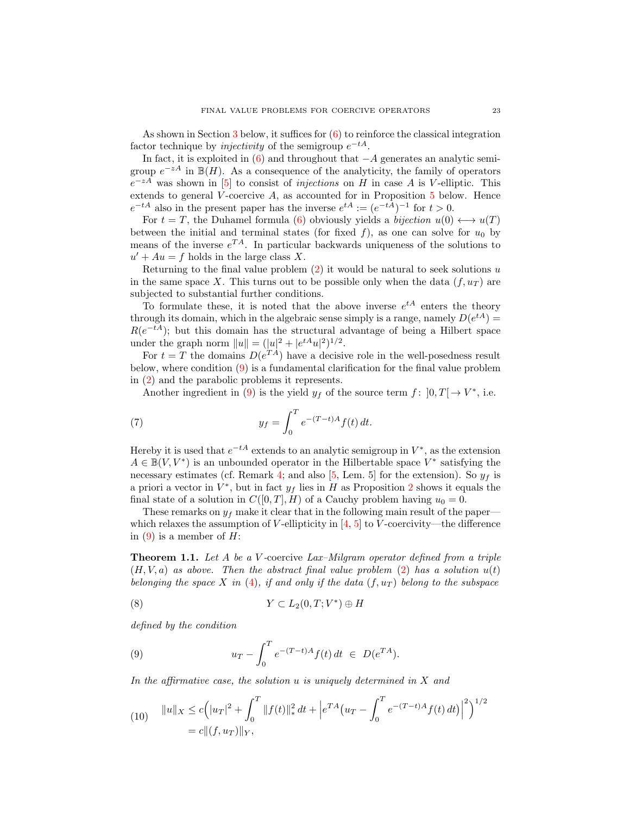As shown in Section [3](#page-8-0) below, it suffices for  $(6)$  to reinforce the classical integration factor technique by *injectivity* of the semigroup  $e^{-tA}$ .

In fact, it is exploited in  $(6)$  and throughout that  $-A$  generates an analytic semigroup  $e^{-zA}$  in  $\mathbb{B}(H)$ . As a consequence of the analyticity, the family of operators  $e^{-zA}$  was shown in [\[5\]](#page-15-0) to consist of *injections* on H in case A is V-elliptic. This extends to general  $\hat{V}$ -coercive A, as accounted for in Proposition [5](#page-7-0) below. Hence  $e^{-tA}$  also in the present paper has the inverse  $e^{tA} := (e^{-tA})^{-1}$  for  $t > 0$ .

For  $t = T$ , the Duhamel formula [\(6\)](#page-2-3) obviously yields a *bijection*  $u(0) \leftrightarrow u(T)$ between the initial and terminal states (for fixed f), as one can solve for  $u_0$  by means of the inverse  $e^{TA}$ . In particular backwards uniqueness of the solutions to  $u' + Au = f$  holds in the large class X.

Returning to the final value problem  $(2)$  it would be natural to seek solutions u in the same space X. This turns out to be possible only when the data  $(f, u_T)$  are subjected to substantial further conditions.

To formulate these, it is noted that the above inverse  $e^{tA}$  enters the theory through its domain, which in the algebraic sense simply is a range, namely  $D(e^{tA}) =$  $R(e^{-tA})$ ; but this domain has the structural advantage of being a Hilbert space under the graph norm  $||u|| = (|u|^2 + |e^{tA}u|^2)^{1/2}$ .

For  $t = T$  the domains  $D(e^{TA})$  have a decisive role in the well-posedness result below, where condition [\(9\)](#page-3-0) is a fundamental clarification for the final value problem in [\(2\)](#page-1-0) and the parabolic problems it represents.

<span id="page-3-2"></span>Another ingredient in [\(9\)](#page-3-0) is the yield  $y_f$  of the source term  $f: [0, T] \to V^*$ , i.e.

(7) 
$$
y_f = \int_0^T e^{-(T-t)A} f(t) dt.
$$

Hereby it is used that  $e^{-tA}$  extends to an analytic semigroup in  $V^*$ , as the extension  $A \in \mathbb{B}(V, V^*)$  is an unbounded operator in the Hilbertable space  $V^*$  satisfying the necessary estimates (cf. Remark [4;](#page-8-1) and also [\[5,](#page-15-0) Lem. 5] for the extension). So  $y_f$  is a priori a vector in  $V^*$ , but in fact  $y_f$  lies in H as Proposition [2](#page-2-4) shows it equals the final state of a solution in  $C([0, T], H)$  of a Cauchy problem having  $u_0 = 0$ .

These remarks on  $y_f$  make it clear that in the following main result of the paper which relaxes the assumption of V-ellipticity in  $[4, 5]$  $[4, 5]$  to V-coercivity—the difference in  $(9)$  is a member of  $H$ :

<span id="page-3-3"></span>**Theorem 1.1.** Let A be a V-coercive Lax-Milgram operator defined from a triple  $(H, V, a)$  as above. Then the abstract final value problem [\(2\)](#page-1-0) has a solution  $u(t)$ belonging the space X in [\(4\)](#page-2-0), if and only if the data  $(f, u_T)$  belong to the subspace

(8) 
$$
Y \subset L_2(0,T;V^*) \oplus H
$$

defined by the condition

<span id="page-3-0"></span>(9) 
$$
u_T - \int_0^T e^{-(T-t)A} f(t) dt \in D(e^{TA}).
$$

In the affirmative case, the solution  $u$  is uniquely determined in  $X$  and

<span id="page-3-1"></span>(10) 
$$
||u||_X \le c \Big(|u_T|^2 + \int_0^T ||f(t)||_*^2 dt + \Big| e^{TA} \Big(u_T - \int_0^T e^{-(T-t)A} f(t) dt \Big) \Big|^2 \Big)^{1/2}
$$
  
=  $c ||(f, u_T)||_Y$ ,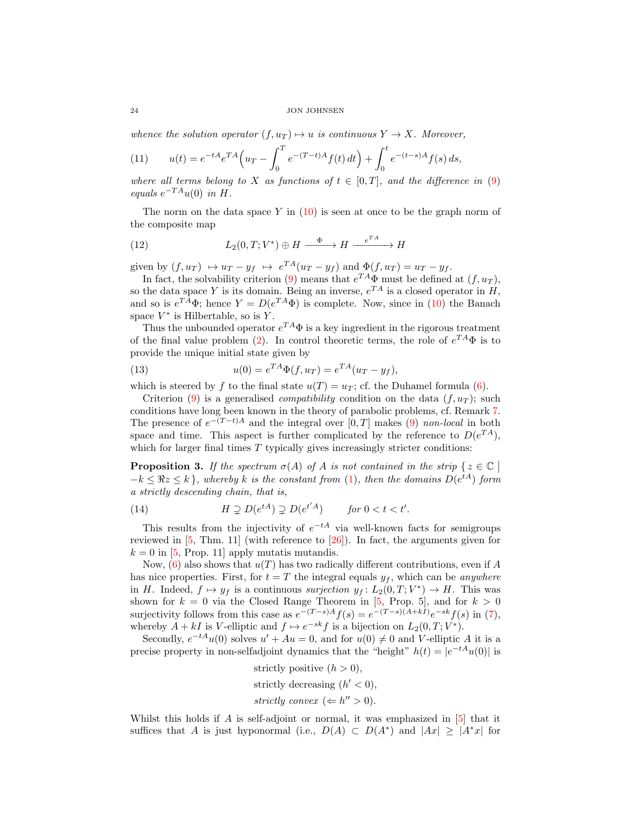whence the solution operator  $(f, u_T) \mapsto u$  is continuous  $Y \to X$ . Moreover,

<span id="page-4-1"></span>(11) 
$$
u(t) = e^{-tA}e^{TA}\left(u_T - \int_0^T e^{-(T-t)A}f(t) dt\right) + \int_0^t e^{-(t-s)A}f(s) ds,
$$

where all terms belong to X as functions of  $t \in [0,T]$ , and the difference in [\(9\)](#page-3-0) equals  $e^{-TA}u(0)$  in H.

The norm on the data space Y in  $(10)$  is seen at once to be the graph norm of the composite map

(12) 
$$
L_2(0,T;V^*) \oplus H \xrightarrow{\Phi} H \xrightarrow{e^{TA}} H
$$

given by  $(f, u_T) \mapsto u_T - y_f \mapsto e^{TA}(u_T - y_f)$  and  $\Phi(f, u_T) = u_T - y_f$ .

In fact, the solvability criterion [\(9\)](#page-3-0) means that  $e^{TA}\Phi$  must be defined at  $(f, u_T)$ , so the data space Y is its domain. Being an inverse,  $e^{TA}$  is a closed operator in H, and so is  $e^{TA}\Phi$ ; hence  $Y = D(e^{TA}\Phi)$  is complete. Now, since in [\(10\)](#page-3-1) the Banach space  $V^*$  is Hilbertable, so is Y.

Thus the unbounded operator  $e^{TA}\Phi$  is a key ingredient in the rigorous treatment of the final value problem [\(2\)](#page-1-0). In control theoretic terms, the role of  $e^{TA}\Phi$  is to provide the unique initial state given by

(13) 
$$
u(0) = e^{TA} \Phi(f, u_T) = e^{TA} (u_T - y_f),
$$

which is steered by f to the final state  $u(T) = u_T$ ; cf. the Duhamel formula [\(6\)](#page-2-3).

Criterion [\(9\)](#page-3-0) is a generalised *compatibility* condition on the data  $(f, u_T)$ ; such conditions have long been known in the theory of parabolic problems, cf. Remark [7.](#page-14-0) The presence of  $e^{-(T-t)A}$  and the integral over [0, T] makes [\(9\)](#page-3-0) non-local in both space and time. This aspect is further complicated by the reference to  $D(e^{TA})$ , which for larger final times  $T$  typically gives increasingly stricter conditions:

**Proposition 3.** If the spectrum  $\sigma(A)$  of A is not contained in the strip  $\{z \in \mathbb{C} \mid$  $\overline{\phantom{a}}$  $-k \leq \Re z \leq k$ , whereby k is the constant from [\(1\)](#page-0-0), then the domains  $D(e^{tA})$  form a strictly descending chain, that is,

<span id="page-4-0"></span>(14) 
$$
H \supsetneq D(e^{tA}) \supsetneq D(e^{t'A}) \quad \text{for } 0 < t < t'.
$$

This results from the injectivity of  $e^{-tA}$  via well-known facts for semigroups reviewed in [\[5,](#page-15-0) Thm. 11] (with reference to [\[26\]](#page-16-5)). In fact, the arguments given for  $k = 0$  in [\[5,](#page-15-0) Prop. 11] apply mutatis mutandis.

Now,  $(6)$  also shows that  $u(T)$  has two radically different contributions, even if A has nice properties. First, for  $t = T$  the integral equals  $y_f$ , which can be *anywhere* in H. Indeed,  $f \mapsto y_f$  is a continuous surjection  $y_f : L_2(0,T; V^*) \to H$ . This was shown for  $k = 0$  via the Closed Range Theorem in [\[5,](#page-15-0) Prop. 5], and for  $k > 0$ surjectivity follows from this case as  $e^{-(T-s)A}f(s) = e^{-(T-s)(A+kI)}e^{-sk}f(s)$  in [\(7\)](#page-3-2), whereby  $A + kI$  is V-elliptic and  $f \mapsto e^{-sk} f$  is a bijection on  $L_2(0, T; V^*)$ .

Secondly,  $e^{-tA}u(0)$  solves  $u' + Au = 0$ , and for  $u(0) \neq 0$  and V-elliptic A it is a precise property in non-selfadjoint dynamics that the "height"  $h(t) = |e^{-tA}u(0)|$  is

strictly positive  $(h > 0)$ ,

strictly decreasing  $(h' < 0)$ ,

strictly convex ( $\Leftarrow h'' > 0$ ).

Whilst this holds if A is self-adjoint or normal, it was emphasized in [\[5\]](#page-15-0) that it suffices that A is just hyponormal (i.e.,  $D(A) \subset D(A^*)$  and  $|Ax| \geq |A^*x|$  for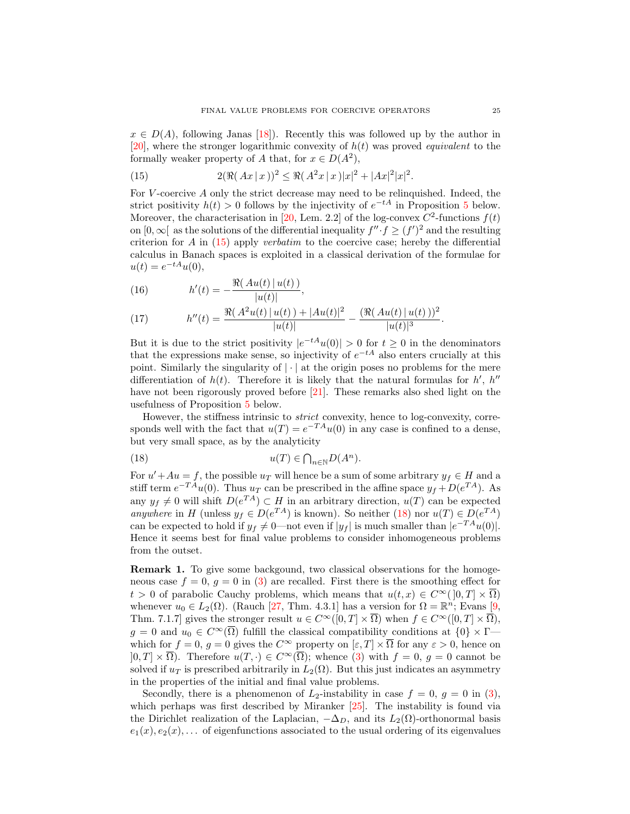$x \in D(A)$ , following Janas [\[18\]](#page-15-7)). Recently this was followed up by the author in [\[20\]](#page-16-6), where the stronger logarithmic convexity of  $h(t)$  was proved *equivalent* to the formally weaker property of A that, for  $x \in D(A^2)$ ,

<span id="page-5-0"></span>(15) 
$$
2(\Re(Ax \mid x))^2 \leq \Re(A^2x \mid x)|x|^2 + |Ax|^2|x|^2.
$$

For  $V$ -coercive  $A$  only the strict decrease may need to be relinquished. Indeed, the strict positivity  $h(t) > 0$  follows by the injectivity of  $e^{-tA}$  in Proposition [5](#page-7-0) below. Moreover, the characterisation in [\[20,](#page-16-6) Lem. 2.2] of the log-convex  $C^2$ -functions  $f(t)$ on  $[0, \infty)$  as the solutions of the differential inequality  $f'' \cdot f \geq (f')^2$  and the resulting criterion for A in [\(15\)](#page-5-0) apply verbatim to the coercive case; hereby the differential calculus in Banach spaces is exploited in a classical derivation of the formulae for  $u(t) = e^{-tA}u(0),$ 

(16) 
$$
h'(t) = -\frac{\Re(Au(t))|u(t)|}{|u(t)|},
$$

(17) 
$$
h''(t) = \frac{\Re(A^2u(t) | u(t)) + |Au(t)|^2}{|u(t)|} - \frac{(\Re(Au(t) | u(t)))^2}{|u(t)|^3}.
$$

But it is due to the strict positivity  $|e^{-tA}u(0)| > 0$  for  $t \ge 0$  in the denominators that the expressions make sense, so injectivity of  $e^{-tA}$  also enters crucially at this point. Similarly the singularity of  $|\cdot|$  at the origin poses no problems for the mere differentiation of  $h(t)$ . Therefore it is likely that the natural formulas for  $h'$ ,  $h''$ have not been rigorously proved before [\[21\]](#page-16-0). These remarks also shed light on the usefulness of Proposition [5](#page-7-0) below.

However, the stiffness intrinsic to *strict* convexity, hence to log-convexity, corresponds well with the fact that  $u(T) = e^{-T A} u(0)$  in any case is confined to a dense, but very small space, as by the analyticity

<span id="page-5-1"></span>(18) 
$$
u(T) \in \bigcap_{n \in \mathbb{N}} D(A^n).
$$

For  $u' + Au = f$ , the possible  $u_T$  will hence be a sum of some arbitrary  $y_f \in H$  and a stiff term  $e^{-T A}u(0)$ . Thus  $u_T$  can be prescribed in the affine space  $y_f + D(e^{T A})$ . As any  $y_f \neq 0$  will shift  $D(e^{TA}) \subset H$  in an arbitrary direction,  $u(T)$  can be expected anywhere in H (unless  $y_f \in D(e^{TA})$  is known). So neither [\(18\)](#page-5-1) nor  $u(T) \in D(e^{TA})$ can be expected to hold if  $y_f \neq 0$ —not even if  $|y_f|$  is much smaller than  $|e^{-TA}u(0)|$ . Hence it seems best for final value problems to consider inhomogeneous problems from the outset.

Remark 1. To give some backgound, two classical observations for the homogeneous case  $f = 0$ ,  $g = 0$  in [\(3\)](#page-1-1) are recalled. First there is the smoothing effect for  $t > 0$  of parabolic Cauchy problems, which means that  $u(t, x) \in C^{\infty}(0, T] \times \overline{\Omega}$ whenever  $u_0 \in L_2(\Omega)$ . (Rauch [\[27,](#page-16-7) Thm. 4.3.1] has a version for  $\Omega = \mathbb{R}^n$ ; Evans [\[9,](#page-15-8) Thm. 7.1.7] gives the stronger result  $u \in C^{\infty}([0, T] \times \overline{\Omega})$  when  $f \in C^{\infty}([0, T] \times \overline{\Omega})$ ,  $g = 0$  and  $u_0 \in C^{\infty}(\overline{\Omega})$  fulfill the classical compatibility conditions at  $\{0\} \times \Gamma$  which for  $f = 0$ ,  $g = 0$  gives the  $C^{\infty}$  property on  $[\varepsilon, T] \times \overline{\Omega}$  for any  $\varepsilon > 0$ , hence on  $[0, T] \times \overline{\Omega}$ . Therefore  $u(T, \cdot) \in C^{\infty}(\overline{\Omega})$ ; whence [\(3\)](#page-1-1) with  $f = 0, g = 0$  cannot be solved if  $u_T$  is prescribed arbitrarily in  $L_2(\Omega)$ . But this just indicates an asymmetry in the properties of the initial and final value problems.

Secondly, there is a phenomenon of  $L_2$ -instability in case  $f = 0$ ,  $g = 0$  in [\(3\)](#page-1-1), which perhaps was first described by Miranker [\[25\]](#page-16-8). The instability is found via the Dirichlet realization of the Laplacian,  $-\Delta_D$ , and its  $L_2(\Omega)$ -orthonormal basis  $e_1(x), e_2(x), \ldots$  of eigenfunctions associated to the usual ordering of its eigenvalues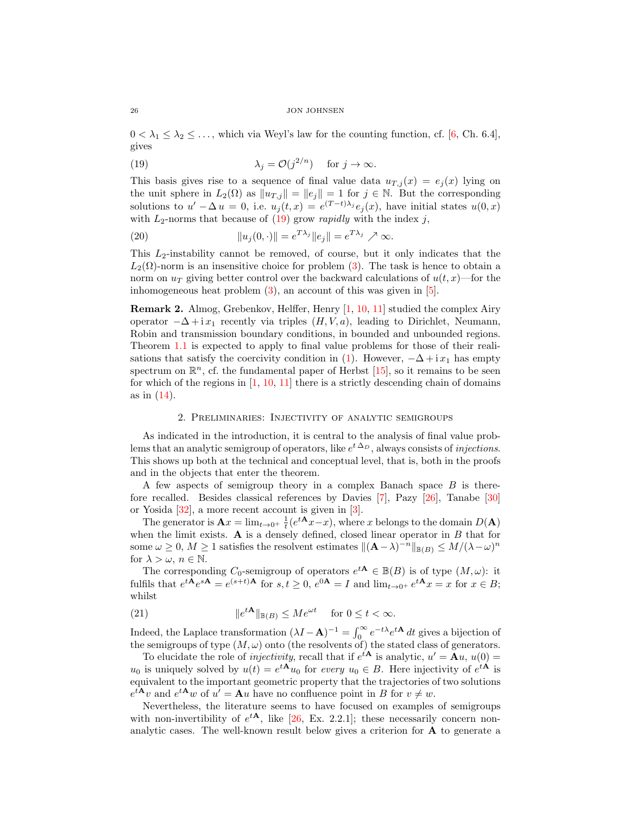$0 < \lambda_1 \leq \lambda_2 \leq \ldots$ , which via Weyl's law for the counting function, cf. [\[6,](#page-15-9) Ch. 6.4], gives

<span id="page-6-0"></span>(19) 
$$
\lambda_j = \mathcal{O}(j^{2/n}) \quad \text{for } j \to \infty.
$$

This basis gives rise to a sequence of final value data  $u_{T,j}(x) = e_j(x)$  lying on the unit sphere in  $L_2(\Omega)$  as  $||u_{T,j}|| = ||e_j|| = 1$  for  $j \in \mathbb{N}$ . But the corresponding solutions to  $u' - \Delta u = 0$ , i.e.  $u_j(t,x) = e^{(T-t)\lambda_j} e_j(x)$ , have initial states  $u(0,x)$ with  $L_2$ -norms that because of  $(19)$  grow *rapidly* with the index j,

(20) 
$$
||u_j(0, \cdot)|| = e^{T\lambda_j} ||e_j|| = e^{T\lambda_j} \nearrow \infty.
$$

This  $L_2$ -instability cannot be removed, of course, but it only indicates that the  $L_2(\Omega)$ -norm is an insensitive choice for problem [\(3\)](#page-1-1). The task is hence to obtain a norm on  $u_T$  giving better control over the backward calculations of  $u(t, x)$ —for the inhomogeneous heat problem [\(3\)](#page-1-1), an account of this was given in [\[5\]](#page-15-0).

Remark 2. Almog, Grebenkov, Helffer, Henry [\[1,](#page-15-10) [10,](#page-15-11) [11\]](#page-15-12) studied the complex Airy operator  $-\Delta + i x_1$  recently via triples  $(H, V, a)$ , leading to Dirichlet, Neumann, Robin and transmission boundary conditions, in bounded and unbounded regions. Theorem [1.1](#page-3-3) is expected to apply to final value problems for those of their reali-sations that satisfy the coercivity condition in [\(1\)](#page-0-0). However,  $-\Delta + i x_1$  has empty spectrum on  $\mathbb{R}^n$ , cf. the fundamental paper of Herbst [\[15\]](#page-15-13), so it remains to be seen for which of the regions in  $[1, 10, 11]$  $[1, 10, 11]$  $[1, 10, 11]$  $[1, 10, 11]$  there is a strictly descending chain of domains as in [\(14\)](#page-4-0).

# 2. Preliminaries: Injectivity of analytic semigroups

As indicated in the introduction, it is central to the analysis of final value problems that an analytic semigroup of operators, like  $e^{t\Delta_D}$ , always consists of *injections*. This shows up both at the technical and conceptual level, that is, both in the proofs and in the objects that enter the theorem.

A few aspects of semigroup theory in a complex Banach space B is therefore recalled. Besides classical references by Davies [\[7\]](#page-15-14), Pazy [\[26\]](#page-16-5), Tanabe [\[30\]](#page-16-3) or Yosida [\[32\]](#page-16-9), a more recent account is given in [\[3\]](#page-15-15).

The generator is  $\mathbf{A}x = \lim_{t\to 0^+} \frac{1}{t} (e^{t\mathbf{A}}x-x)$ , where x belongs to the domain  $D(\mathbf{A})$ when the limit exists.  $A$  is a densely defined, closed linear operator in  $B$  that for some  $\omega \geq 0$ ,  $M \geq 1$  satisfies the resolvent estimates  $\| (\mathbf{A} - \lambda)^{-n} \|_{\mathbb{B}(B)} \leq M/(\lambda - \omega)^n$ for  $\lambda > \omega$ ,  $n \in \mathbb{N}$ .

The corresponding  $C_0$ -semigroup of operators  $e^{tA} \in B(B)$  is of type  $(M, \omega)$ : it fulfils that  $e^{t\mathbf{A}}e^{s\mathbf{A}} = e^{(s+t)\mathbf{A}}$  for  $s, t \geq 0$ ,  $e^{0\mathbf{A}} = I$  and  $\lim_{t \to 0^+} e^{t\mathbf{A}}x = x$  for  $x \in B$ ; whilst

(21) 
$$
\|e^{tA}\|_{\mathbb{B}(B)} \le Me^{\omega t} \quad \text{for } 0 \le t < \infty.
$$

Indeed, the Laplace transformation  $(\lambda I - A)^{-1} = \int_0^\infty e^{-t\lambda} e^{tA} dt$  gives a bijection of the semigroups of type  $(M, \omega)$  onto (the resolvents of) the stated class of generators.

To elucidate the role of *injectivity*, recall that if  $e^{tA}$  is analytic,  $u' = Au$ ,  $u(0) =$  $u_0$  is uniquely solved by  $u(t) = e^{t\mathbf{A}}u_0$  for every  $u_0 \in B$ . Here injectivity of  $e^{t\mathbf{A}}$  is equivalent to the important geometric property that the trajectories of two solutions  $e^{t\mathbf{A}}v$  and  $e^{t\mathbf{A}}w$  of  $u' = \mathbf{A}u$  have no confluence point in B for  $v \neq w$ .

Nevertheless, the literature seems to have focused on examples of semigroups with non-invertibility of  $e^{tA}$ , like [\[26,](#page-16-5) Ex. 2.2.1]; these necessarily concern nonanalytic cases. The well-known result below gives a criterion for A to generate a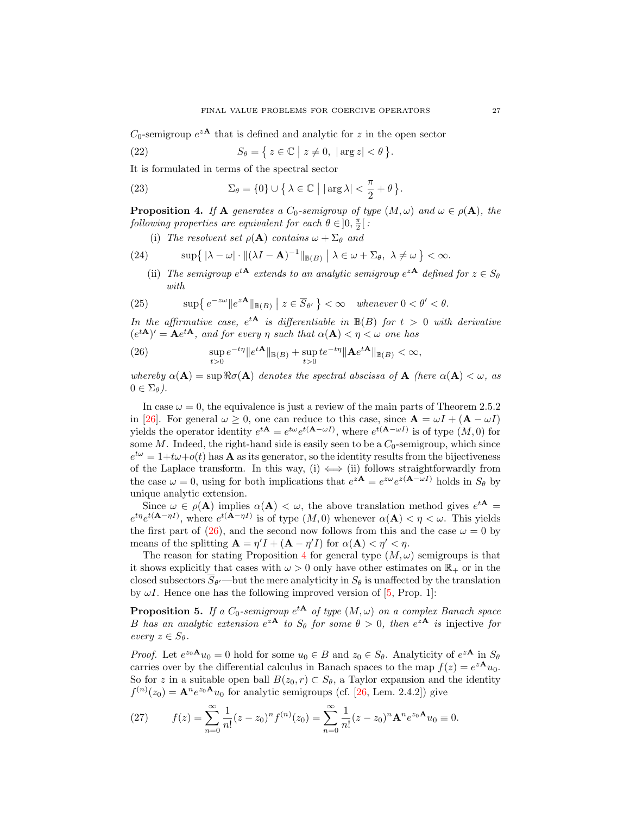$C_0$ -semigroup  $e^{zA}$  that is defined and analytic for z in the open sector

(22) 
$$
S_{\theta} = \{ z \in \mathbb{C} \mid z \neq 0, \, |\arg z| < \theta \}.
$$

It is formulated in terms of the spectral sector

(23) 
$$
\Sigma_{\theta} = \{0\} \cup \left\{ \lambda \in \mathbb{C} \mid |\arg \lambda| < \frac{\pi}{2} + \theta \right\}.
$$

<span id="page-7-2"></span>**Proposition 4.** If **A** generates a  $C_0$ -semigroup of type  $(M, \omega)$  and  $\omega \in \rho(\mathbf{A})$ , the following properties are equivalent for each  $\theta \in ]0, \frac{\pi}{2}[$ :

(i) The resolvent set  $\rho(\mathbf{A})$  contains  $\omega + \Sigma_{\theta}$  and

(24) 
$$
\sup\left\{ |\lambda - \omega| \cdot \|(\lambda I - \mathbf{A})^{-1}\|_{\mathbb{B}(B)} \mid \lambda \in \omega + \Sigma_{\theta}, \ \lambda \neq \omega \right\} < \infty.
$$

(ii) The semigroup  $e^{tA}$  extends to an analytic semigroup  $e^{zA}$  defined for  $z \in S_\theta$ with

(25) 
$$
\sup \left\{ e^{-z\omega} \|e^{z\mathbf{A}}\|_{\mathbb{B}(B)} \mid z \in \overline{S}_{\theta'} \right\} < \infty \quad \text{whenever } 0 < \theta' < \theta.
$$

In the affirmative case,  $e^{tA}$  is differentiable in  $\mathbb{B}(B)$  for  $t > 0$  with derivative  $(e^{t{\bf A}})' = {\bf A}e^{t{\bf A}},$  and for every  $\eta$  such that  $\alpha({\bf A}) < \eta < \omega$  one has

<span id="page-7-1"></span>(26) 
$$
\sup_{t>0} e^{-t\eta} \|e^{t\mathbf{A}}\|_{\mathbb{B}(B)} + \sup_{t>0} t e^{-t\eta} \|\mathbf{A}e^{t\mathbf{A}}\|_{\mathbb{B}(B)} < \infty,
$$

whereby  $\alpha(A) = \sup \Re \sigma(A)$  denotes the spectral abscissa of A (here  $\alpha(A) < \omega$ , as  $0 \in \Sigma_{\theta}$ ).

In case  $\omega = 0$ , the equivalence is just a review of the main parts of Theorem 2.5.2 in [\[26\]](#page-16-5). For general  $\omega \geq 0$ , one can reduce to this case, since  $\mathbf{A} = \omega I + (\mathbf{A} - \omega I)$ yields the operator identity  $e^{tA} = e^{t\omega} e^{t(A-\omega I)}$ , where  $e^{t(A-\omega I)}$  is of type  $(M,0)$  for some  $M$ . Indeed, the right-hand side is easily seen to be a  $C_0$ -semigroup, which since  $e^{t\omega} = 1 + t\omega + o(t)$  has **A** as its generator, so the identity results from the bijectiveness of the Laplace transform. In this way, (i)  $\iff$  (ii) follows straightforwardly from the case  $\omega = 0$ , using for both implications that  $e^{z\mathbf{A}} = e^{z\omega}e^{z(\mathbf{A} - \omega I)}$  holds in  $S_{\theta}$  by unique analytic extension.

Since  $\omega \in \rho(\mathbf{A})$  implies  $\alpha(\mathbf{A}) < \omega$ , the above translation method gives  $e^{t\mathbf{A}} =$  $e^{t\eta}e^{t(\mathbf{A}-\eta I)}$ , where  $e^{t(\mathbf{A}-\eta I)}$  is of type  $(M,0)$  whenever  $\alpha(\mathbf{A}) < \eta < \omega$ . This yields the first part of [\(26\)](#page-7-1), and the second now follows from this and the case  $\omega = 0$  by means of the splitting  $\mathbf{A} = \eta' I + (\mathbf{A} - \eta' I)$  for  $\alpha(\mathbf{A}) < \eta' < \eta$ .

The reason for stating Proposition [4](#page-7-2) for general type  $(M, \omega)$  semigroups is that it shows explicitly that cases with  $\omega > 0$  only have other estimates on  $\mathbb{R}_+$  or in the closed subsectors  $S_{\theta}$ —but the mere analyticity in  $S_{\theta}$  is unaffected by the translation by  $\omega I$ . Hence one has the following improved version of [\[5,](#page-15-0) Prop. 1]:

<span id="page-7-0"></span>**Proposition 5.** If a  $C_0$ -semigroup  $e^{tA}$  of type  $(M, \omega)$  on a complex Banach space B has an analytic extension  $e^{zA}$  to  $S_{\theta}$  for some  $\theta > 0$ , then  $e^{zA}$  is injective for every  $z \in S_{\theta}$ .

*Proof.* Let  $e^{z_0 \mathbf{A}} u_0 = 0$  hold for some  $u_0 \in B$  and  $z_0 \in S_\theta$ . Analyticity of  $e^{z \mathbf{A}}$  in  $S_\theta$ carries over by the differential calculus in Banach spaces to the map  $f(z) = e^{z\mathbf{A}}u_0$ . So for z in a suitable open ball  $B(z_0, r) \subset S_{\theta}$ , a Taylor expansion and the identity  $f^{(n)}(z_0) = \mathbf{A}^n e^{z_0 \mathbf{A}} u_0$  for analytic semigroups (cf. [\[26,](#page-16-5) Lem. 2.4.2]) give

(27) 
$$
f(z) = \sum_{n=0}^{\infty} \frac{1}{n!} (z - z_0)^n f^{(n)}(z_0) = \sum_{n=0}^{\infty} \frac{1}{n!} (z - z_0)^n \mathbf{A}^n e^{z_0 \mathbf{A}} u_0 \equiv 0.
$$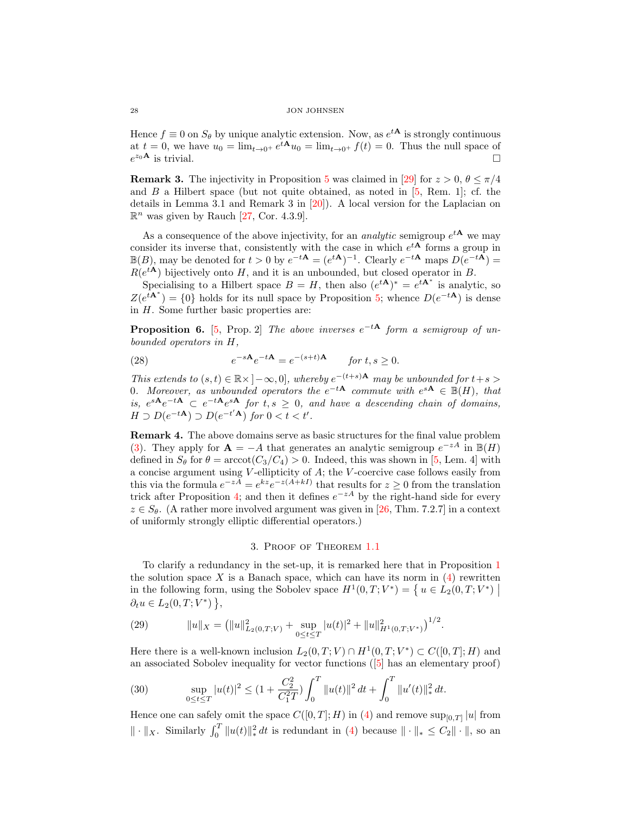Hence  $f \equiv 0$  on  $S_{\theta}$  by unique analytic extension. Now, as  $e^{tA}$  is strongly continuous at  $t = 0$ , we have  $u_0 = \lim_{t \to 0^+} e^{tA} u_0 = \lim_{t \to 0^+} f(t) = 0$ . Thus the null space of  $e^{z_0 \mathbf{A}}$  is trivial.

**Remark 3.** The injectivity in Proposition [5](#page-7-0) was claimed in [\[29\]](#page-16-10) for  $z > 0$ ,  $\theta \le \pi/4$ and  $B$  a Hilbert space (but not quite obtained, as noted in  $[5, Rem. 1]$ ; cf. the details in Lemma 3.1 and Remark 3 in [\[20\]](#page-16-6)). A local version for the Laplacian on  $\mathbb{R}^n$  was given by Rauch [\[27,](#page-16-7) Cor. 4.3.9].

As a consequence of the above injectivity, for an *analytic* semigroup  $e^{tA}$  we may consider its inverse that, consistently with the case in which  $e^{tA}$  forms a group in  $\mathbb{B}(B)$ , may be denoted for  $t > 0$  by  $e^{-t\mathbf{A}} = (e^{t\mathbf{A}})^{-1}$ . Clearly  $e^{-t\mathbf{A}}$  maps  $D(e^{-t\mathbf{A}})$  $R(e^{t\mathbf{A}})$  bijectively onto H, and it is an unbounded, but closed operator in B.

Specialising to a Hilbert space  $B = H$ , then also  $(e^{tA})^* = e^{tA^*}$  is analytic, so  $Z(e^{t\mathbf{A}^*}) = \{0\}$  holds for its null space by Proposition [5;](#page-7-0) whence  $D(e^{-t\mathbf{A}})$  is dense in  $H$ . Some further basic properties are:

**Proposition 6.** [\[5,](#page-15-0) Prop. 2] The above inverses  $e^{-tA}$  form a semigroup of unbounded operators in H,

(28) 
$$
e^{-s\mathbf{A}}e^{-t\mathbf{A}} = e^{-(s+t)\mathbf{A}} \quad \text{for } t, s \ge 0.
$$

This extends to  $(s,t) \in \mathbb{R} \times ]-\infty,0]$ , whereby  $e^{-(t+s)\mathbf{A}}$  may be unbounded for  $t+s$ 0. Moreover, as unbounded operators the  $e^{-tA}$  commute with  $e^{sA} \in \mathbb{B}(H)$ , that is,  $e^{sA}e^{-tA} \text{ }\subset e^{-tA}e^{sA}$  for  $t,s \geq 0$ , and have a descending chain of domains,  $H \supset D(e^{-t\mathbf{A}}) \supset D(e^{-t'\mathbf{A}})$  for  $0 < t < t'$ .

<span id="page-8-1"></span>Remark 4. The above domains serve as basic structures for the final value problem [\(3\)](#page-1-1). They apply for  $\mathbf{A} = -A$  that generates an analytic semigroup  $e^{-zA}$  in  $\mathbb{B}(H)$ defined in  $S_{\theta}$  for  $\theta = \arccot(C_3/C_4) > 0$ . Indeed, this was shown in [\[5,](#page-15-0) Lem. 4] with a concise argument using V -ellipticity of A; the V -coercive case follows easily from this via the formula  $e^{-zA} = e^{kz}e^{-z(A+kI)}$  that results for  $z \ge 0$  from the translation trick after Proposition [4;](#page-7-2) and then it defines  $e^{-zA}$  by the right-hand side for every  $z \in S_{\theta}$ . (A rather more involved argument was given in [\[26,](#page-16-5) Thm. 7.2.7] in a context of uniformly strongly elliptic differential operators.)

## 3. Proof of Theorem [1.1](#page-3-3)

<span id="page-8-0"></span>To clarify a redundancy in the set-up, it is remarked here that in Proposition [1](#page-2-2) the solution space  $X$  is a Banach space, which can have its norm in  $(4)$  rewritten in the following form, using the Sobolev space  $H^1(0,T; V^*) = \{ u \in L_2(0,T; V^*) \mid \}$  $\partial_t u \in L_2(0,T;V^*)\,\},\,$ 

(29) 
$$
||u||_X = (||u||^2_{L_2(0,T;V)} + \sup_{0 \le t \le T} |u(t)|^2 + ||u||^2_{H^1(0,T;V^*)})^{1/2}.
$$

Here there is a well-known inclusion  $L_2(0,T;V) \cap H^1(0,T;V^*) \subset C([0,T];H)$  and an associated Sobolev inequality for vector functions([\[5\]](#page-15-0) has an elementary proof)

(30) 
$$
\sup_{0 \le t \le T} |u(t)|^2 \le (1 + \frac{C_2^2}{C_1^2 T}) \int_0^T ||u(t)||^2 dt + \int_0^T ||u'(t)||_*^2 dt.
$$

Hence one can safely omit the space  $C([0,T];H)$  in [\(4\)](#page-2-0) and remove  $\sup_{[0,T]}|u|$  from  $\|\cdot\|_X$ . Similarly  $\int_0^T \|u(t)\|_*^2 dt$  is redundant in [\(4\)](#page-2-0) because  $\|\cdot\|_* \leq C_2 \|\cdot\|$ , so an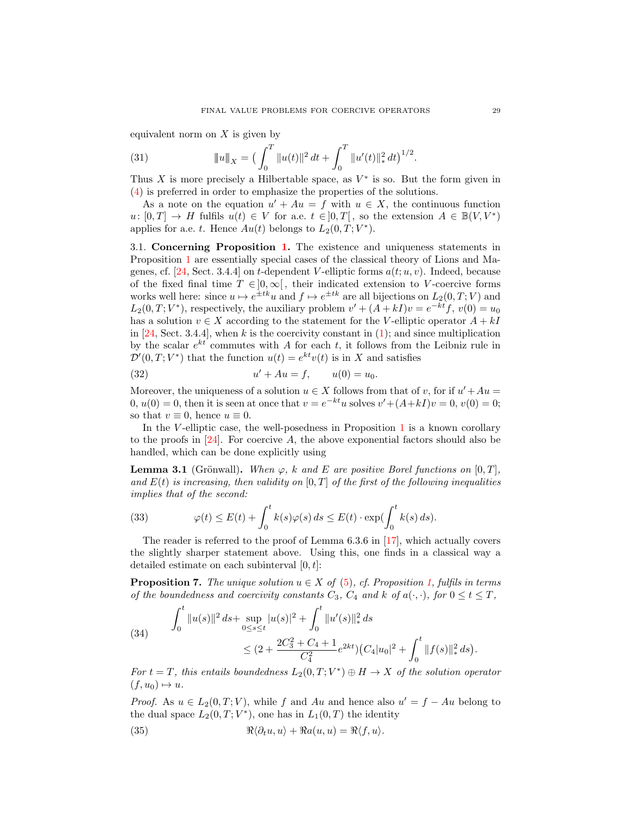equivalent norm on  $X$  is given by

<span id="page-9-3"></span>(31) 
$$
\|u\|_X = \left(\int_0^T \|u(t)\|^2 dt + \int_0^T \|u'(t)\|_*^2 dt\right)^{1/2}
$$

Thus X is more precisely a Hilbertable space, as  $V^*$  is so. But the form given in [\(4\)](#page-2-0) is preferred in order to emphasize the properties of the solutions.

As a note on the equation  $u' + Au = f$  with  $u \in X$ , the continuous function  $u: [0, T] \to H$  fulfils  $u(t) \in V$  for a.e.  $t \in [0, T]$ , so the extension  $A \in \mathbb{B}(V, V^*)$ applies for a.e. t. Hence  $Au(t)$  belongs to  $L_2(0,T;V^*)$ .

3.1. Concerning Proposition [1.](#page-2-2) The existence and uniqueness statements in Proposition [1](#page-2-2) are essentially special cases of the classical theory of Lions and Ma-genes, cf. [\[24,](#page-16-2) Sect. 3.4.4] on t-dependent V-elliptic forms  $a(t; u, v)$ . Indeed, because of the fixed final time  $T \in ]0,\infty[$ , their indicated extension to V-coercive forms works well here: since  $u \mapsto e^{\pm tk}u$  and  $f \mapsto e^{\pm tk}$  are all bijections on  $L_2(0,T;V)$  and  $L_2(0,T;V^*)$ , respectively, the auxiliary problem  $v' + (A + kI)v = e^{-kt}f$ ,  $v(0) = u_0$ has a solution  $v \in X$  according to the statement for the V-elliptic operator  $A + kI$ in  $[24, Sect. 3.4.4],$  when k is the coercivity constant in  $(1)$ ; and since multiplication by the scalar  $e^{kt}$  commutes with A for each t, it follows from the Leibniz rule in  $\mathcal{D}'(0,T;V^*)$  that the function  $u(t) = e^{kt}v(t)$  is in X and satisfies

(32) 
$$
u' + Au = f, \qquad u(0) = u_0.
$$

Moreover, the uniqueness of a solution  $u \in X$  follows from that of v, for if  $u' + Au =$  $0, u(0) = 0$ , then it is seen at once that  $v = e^{-kt}u$  solves  $v' + (A + kI)v = 0, v(0) = 0;$ so that  $v \equiv 0$ , hence  $u \equiv 0$ .

In the V-elliptic case, the well-posedness in Proposition  $1$  is a known corollary to the proofs in  $[24]$ . For coercive A, the above exponential factors should also be handled, which can be done explicitly using

<span id="page-9-1"></span>**Lemma 3.1** (Grönwall). When  $\varphi$ , k and E are positive Borel functions on [0, T], and  $E(t)$  is increasing, then validity on  $[0, T]$  of the first of the following inequalities implies that of the second:

(33) 
$$
\varphi(t) \le E(t) + \int_0^t k(s)\varphi(s) ds \le E(t) \cdot \exp(\int_0^t k(s) ds).
$$

The reader is referred to the proof of Lemma 6.3.6 in [\[17\]](#page-15-16), which actually covers the slightly sharper statement above. Using this, one finds in a classical way a detailed estimate on each subinterval  $[0, t]$ :

<span id="page-9-0"></span>**Proposition 7.** The unique solution  $u \in X$  of [\(5\)](#page-2-1), cf. Proposition [1,](#page-2-2) fulfils in terms of the boundedness and coercivity constants  $C_3$ ,  $C_4$  and k of  $a(\cdot, \cdot)$ , for  $0 \le t \le T$ ,

<span id="page-9-2"></span>(34) 
$$
\int_0^t \|u(s)\|^2 ds + \sup_{0 \le s \le t} |u(s)|^2 + \int_0^t \|u'(s)\|_*^2 ds
$$
  
 
$$
\le (2 + \frac{2C_3^2 + C_4 + 1}{C_4^2} e^{2kt}) (C_4 |u_0|^2 + \int_0^t \|f(s)\|_*^2 ds).
$$

For  $t = T$ , this entails boundedness  $L_2(0,T;V^*) \oplus H \to X$  of the solution operator  $(f, u_0) \mapsto u.$ 

*Proof.* As  $u \in L_2(0,T;V)$ , while f and Au and hence also  $u' = f - Au$  belong to the dual space  $L_2(0,T;V^*)$ , one has in  $L_1(0,T)$  the identity

(35) 
$$
\Re \langle \partial_t u, u \rangle + \Re a(u, u) = \Re \langle f, u \rangle.
$$

.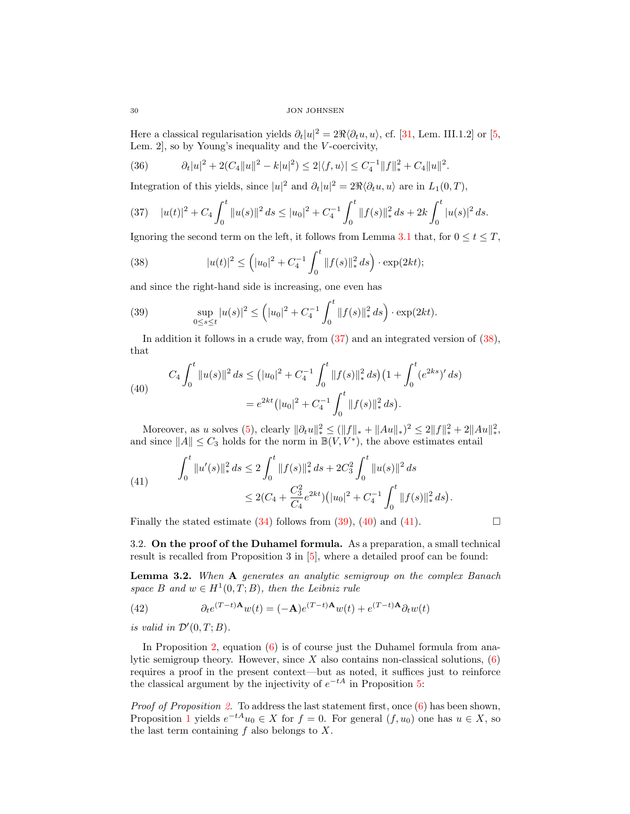Here a classical regularisation yields  $\partial_t |u|^2 = 2\Re \langle \partial_t u, u \rangle$ , cf. [\[31,](#page-16-4) Lem. III.1.2] or [\[5,](#page-15-0) Lem. 2, so by Young's inequality and the  $V$ -coercivity,

(36) 
$$
\partial_t |u|^2 + 2(C_4||u||^2 - k|u|^2) \leq 2|\langle f, u \rangle| \leq C_4^{-1}||f||_*^2 + C_4||u||^2.
$$

Integration of this yields, since  $|u|^2$  and  $\partial_t |u|^2 = 2\Re \langle \partial_t u, u \rangle$  are in  $L_1(0, T)$ ,

<span id="page-10-0"></span>
$$
(37) \quad |u(t)|^2 + C_4 \int_0^t \|u(s)\|^2 \, ds \le |u_0|^2 + C_4^{-1} \int_0^t \|f(s)\|_*^2 \, ds + 2k \int_0^t |u(s)|^2 \, ds.
$$

Ignoring the second term on the left, it follows from Lemma [3.1](#page-9-1) that, for  $0 \le t \le T$ ,

<span id="page-10-1"></span>(38) 
$$
|u(t)|^2 \le (|u_0|^2 + C_4^{-1} \int_0^t \|f(s)\|_*^2 ds) \cdot \exp(2kt);
$$

and since the right-hand side is increasing, one even has

<span id="page-10-2"></span>(39) 
$$
\sup_{0\leq s\leq t}|u(s)|^2 \leq (|u_0|^2 + C_4^{-1} \int_0^t \|f(s)\|_*^2 ds) \cdot \exp(2kt).
$$

In addition it follows in a crude way, from  $(37)$  and an integrated version of  $(38)$ , that

<span id="page-10-3"></span>(40) 
$$
C_4 \int_0^t \|u(s)\|^2 ds \le (|u_0|^2 + C_4^{-1} \int_0^t \|f(s)\|_*^2 ds \Big) \left(1 + \int_0^t (e^{2ks})' ds\right)
$$

$$
= e^{2kt} \left( |u_0|^2 + C_4^{-1} \int_0^t \|f(s)\|_*^2 ds \right).
$$

Moreover, as u solves [\(5\)](#page-2-1), clearly  $\|\partial_t u\|_*^2 \le (\|f\|_* + \|Au\|_*)^2 \le 2\|f\|_*^2 + 2\|Au\|_*^2$ , and since  $||A|| \leq C_3$  holds for the norm in  $\mathbb{B}(V, V^*)$ , the above estimates entail

<span id="page-10-4"></span>(41) 
$$
\int_0^t \|u'(s)\|_*^2 ds \le 2 \int_0^t \|f(s)\|_*^2 ds + 2C_3^2 \int_0^t \|u(s)\|^2 ds
$$

$$
\le 2(C_4 + \frac{C_3^2}{C_4} e^{2kt}) (\vert u_0 \vert^2 + C_4^{-1} \int_0^t \|f(s)\|_*^2 ds).
$$

Finally the stated estimate [\(34\)](#page-9-2) follows from [\(39\)](#page-10-2), [\(40\)](#page-10-3) and [\(41\)](#page-10-4).

3.2. On the proof of the Duhamel formula. As a preparation, a small technical result is recalled from Proposition 3 in [\[5\]](#page-15-0), where a detailed proof can be found:

<span id="page-10-5"></span>Lemma 3.2. When A generates an analytic semigroup on the complex Banach space B and  $w \in H^1(0,T;B)$ , then the Leibniz rule

(42) 
$$
\partial_t e^{(T-t)\mathbf{A}} w(t) = (-\mathbf{A}) e^{(T-t)\mathbf{A}} w(t) + e^{(T-t)\mathbf{A}} \partial_t w(t)
$$

is valid in  $\mathcal{D}'(0,T;B)$ .

In Proposition [2,](#page-2-4) equation  $(6)$  is of course just the Duhamel formula from analytic semigroup theory. However, since  $X$  also contains non-classical solutions,  $(6)$ requires a proof in the present context—but as noted, it suffices just to reinforce the classical argument by the injectivity of  $e^{-tA}$  in Proposition [5:](#page-7-0)

*Proof of Proposition [2.](#page-2-4)* To address the last statement first, once  $(6)$  has been shown, Proposition [1](#page-2-2) yields  $e^{-tA}u_0 \in X$  for  $f = 0$ . For general  $(f, u_0)$  one has  $u \in X$ , so the last term containing  $f$  also belongs to  $X$ .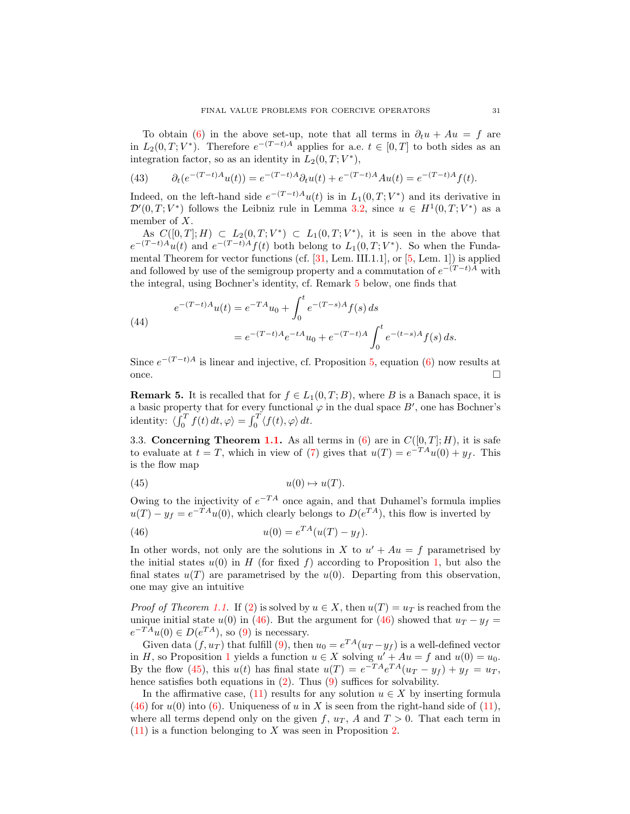To obtain [\(6\)](#page-2-3) in the above set-up, note that all terms in  $\partial_t u + Au = f$  are in  $L_2(0,T;V^*)$ . Therefore  $e^{-(T-t)A}$  applies for a.e.  $t \in [0,T]$  to both sides as an integration factor, so as an identity in  $L_2(0,T; V^*)$ ,

(43) 
$$
\partial_t(e^{-(T-t)A}u(t)) = e^{-(T-t)A}\partial_t u(t) + e^{-(T-t)A}Au(t) = e^{-(T-t)A}f(t).
$$

Indeed, on the left-hand side  $e^{-(T-t)A}u(t)$  is in  $L_1(0,T;V^*)$  and its derivative in  $\mathcal{D}'(0,T;V^*)$  follows the Leibniz rule in Lemma [3.2,](#page-10-5) since  $u \in H^1(0,T;V^*)$  as a member of X.

As  $C([0,T];H) \subset L_2(0,T;V^*) \subset L_1(0,T;V^*)$ , it is seen in the above that  $e^{-(T-t)A}u(t)$  and  $e^{-(T-t)A}f(t)$  both belong to  $L_1(0,T;V^*)$ . So when the Fundamental Theorem for vector functions (cf. [\[31,](#page-16-4) Lem. III.1.1], or [\[5,](#page-15-0) Lem. 1]) is applied and followed by use of the semigroup property and a commutation of  $e^{-(T-t)A}$  with the integral, using Bochner's identity, cf. Remark [5](#page-11-0) below, one finds that

(44)  

$$
e^{-(T-t)A}u(t) = e^{-TA}u_0 + \int_0^t e^{-(T-s)A} f(s) ds
$$

$$
= e^{-(T-t)A} e^{-tA} u_0 + e^{-(T-t)A} \int_0^t e^{-(t-s)A} f(s) ds.
$$

Since  $e^{-(T-t)A}$  is linear and injective, cf. Proposition [5,](#page-7-0) equation [\(6\)](#page-2-3) now results at once.

<span id="page-11-0"></span>**Remark 5.** It is recalled that for  $f \in L_1(0,T;B)$ , where B is a Banach space, it is a basic property that for every functional  $\varphi$  in the dual space  $B'$ , one has Bochner's identity:  $\langle \int_0^T f(t) dt, \varphi \rangle = \int_0^T \langle f(t), \varphi \rangle dt$ .

3.3. Concerning Theorem [1.1.](#page-3-3) As all terms in  $(6)$  are in  $C([0, T]; H)$ , it is safe to evaluate at  $t = T$ , which in view of [\(7\)](#page-3-2) gives that  $u(T) = e^{-T A} u(0) + y_f$ . This is the flow map

<span id="page-11-2"></span>
$$
(45) \t u(0) \mapsto u(T).
$$

Owing to the injectivity of  $e^{-TA}$  once again, and that Duhamel's formula implies  $u(T) - y_f = e^{-T A} u(0)$ , which clearly belongs to  $D(e^{T A})$ , this flow is inverted by

<span id="page-11-1"></span>(46) 
$$
u(0) = e^{TA}(u(T) - y_f).
$$

In other words, not only are the solutions in X to  $u' + Au = f$  parametrised by the initial states  $u(0)$  in H (for fixed f) according to Proposition [1,](#page-2-2) but also the final states  $u(T)$  are parametrised by the  $u(0)$ . Departing from this observation, one may give an intuitive

*Proof of Theorem [1.1.](#page-3-3)* If [\(2\)](#page-1-0) is solved by  $u \in X$ , then  $u(T) = u_T$  is reached from the unique initial state  $u(0)$  in [\(46\)](#page-11-1). But the argument for (46) showed that  $u_T - y_f =$  $e^{-TA}u(0) \in D(e^{TA}),$  so [\(9\)](#page-3-0) is necessary.

Given data  $(f, u_T)$  that fulfill [\(9\)](#page-3-0), then  $u_0 = e^{TA}(u_T - y_f)$  is a well-defined vector in H, so Proposition [1](#page-2-2) yields a function  $u \in X$  solving  $u' + Au = f$  and  $u(0) = u_0$ . By the flow [\(45\)](#page-11-2), this  $u(t)$  has final state  $u(T) = e^{-T A} e^{T A} (u_T - y_f) + y_f = u_T$ , hence satisfies both equations in  $(2)$ . Thus  $(9)$  suffices for solvability.

In the affirmative case, [\(11\)](#page-4-1) results for any solution  $u \in X$  by inserting formula [\(46\)](#page-11-1) for  $u(0)$  into [\(6\)](#page-2-3). Uniqueness of u in X is seen from the right-hand side of [\(11\)](#page-4-1), where all terms depend only on the given f,  $u_T$ , A and  $T > 0$ . That each term in  $(11)$  is a function belonging to X was seen in Proposition [2.](#page-2-4)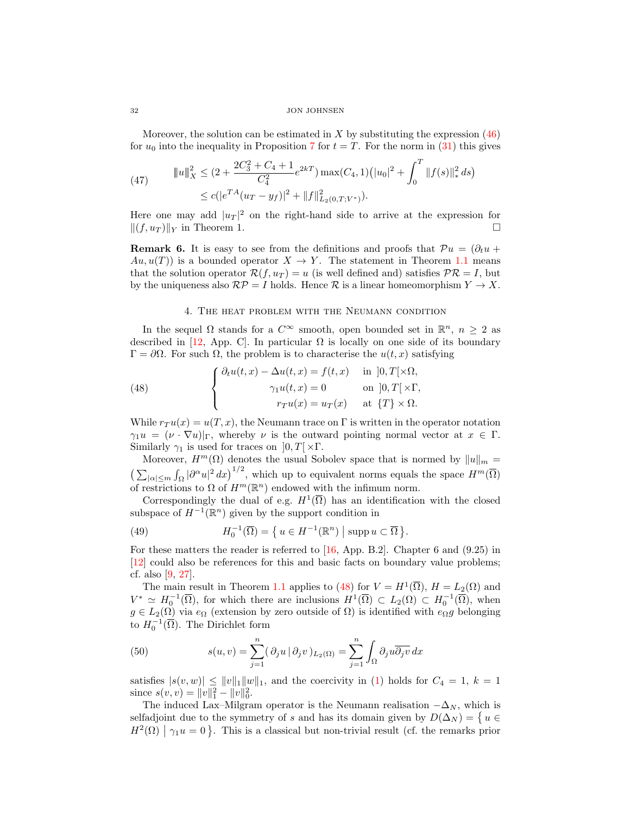Moreover, the solution can be estimated in  $X$  by substituting the expression  $(46)$ for  $u_0$  into the inequality in Proposition [7](#page-9-0) for  $t = T$ . For the norm in [\(31\)](#page-9-3) this gives

(47) 
$$
\|u\|_X^2 \le (2 + \frac{2C_3^2 + C_4 + 1}{C_4^2} e^{2kT}) \max(C_4, 1) (|u_0|^2 + \int_0^T \|f(s)\|_*^2 ds) \le c(|e^{TA}(u_T - y_f)|^2 + \|f\|_{L_2(0,T;V^*)}^2).
$$

Here one may add  $|u_T|^2$  on the right-hand side to arrive at the expression for  $||(f, u_T)||_Y$  in Theorem 1.

**Remark 6.** It is easy to see from the definitions and proofs that  $Pu = (\partial_t u +$  $Au, u(T)$  is a bounded operator  $X \to Y$ . The statement in Theorem [1.1](#page-3-3) means that the solution operator  $\mathcal{R}(f, u_T) = u$  (is well defined and) satisfies  $\mathcal{PR} = I$ , but by the uniqueness also  $\mathcal{RP} = I$  holds. Hence  $\mathcal R$  is a linear homeomorphism  $Y \to X$ .

# <span id="page-12-1"></span>4. The heat problem with the Neumann condition

<span id="page-12-0"></span>In the sequel  $\Omega$  stands for a  $C^{\infty}$  smooth, open bounded set in  $\mathbb{R}^n$ ,  $n \geq 2$  as described in [\[12,](#page-15-2) App. C]. In particular  $\Omega$  is locally on one side of its boundary  $Γ = ∂Ω$ . For such Ω, the problem is to characterise the  $u(t, x)$  satisfying

(48) 
$$
\begin{cases} \partial_t u(t,x) - \Delta u(t,x) = f(t,x) & \text{in } ]0,T[\times\Omega,\gamma_1 u(t,x) = 0 & \text{on } ]0,T[\times\Gamma,\nr_T u(x) = u_T(x) & \text{at } \{T\} \times \Omega. \end{cases}
$$

While  $r_T u(x) = u(T, x)$ , the Neumann trace on Γ is written in the operator notation  $\gamma_1 u = (\nu \cdot \nabla u)|_{\Gamma}$ , whereby  $\nu$  is the outward pointing normal vector at  $x \in \Gamma$ . Similarly  $\gamma_1$  is used for traces on  $[0, T] \times \Gamma$ .

Moreover,  $H^m(\Omega)$  denotes the usual Sobolev space that is normed by  $||u||_m =$  $\left(\sum_{|\alpha| \leq m} \int_{\Omega} |\partial^{\alpha} u|^2 dx\right)^{1/2}$ , which up to equivalent norms equals the space  $H^m(\overline{\Omega})$ of restrictions to  $\Omega$  of  $H^m(\mathbb{R}^n)$  endowed with the infimum norm.

Correspondingly the dual of e.g.  $H^1(\overline{\Omega})$  has an identification with the closed subspace of  $H^{-1}(\mathbb{R}^n)$  given by the support condition in

(49) 
$$
H_0^{-1}(\overline{\Omega}) = \{ u \in H^{-1}(\mathbb{R}^n) \mid \operatorname{supp} u \subset \overline{\Omega} \}.
$$

For these matters the reader is referred to [\[16,](#page-15-17) App. B.2]. Chapter 6 and (9.25) in [\[12\]](#page-15-2) could also be references for this and basic facts on boundary value problems; cf. also [\[9,](#page-15-8) [27\]](#page-16-7).

The main result in Theorem [1.1](#page-3-3) applies to [\(48\)](#page-12-1) for  $V = H^1(\overline{\Omega})$ ,  $H = L_2(\Omega)$  and  $V^* \simeq H_0^{-1}(\overline{\Omega})$ , for which there are inclusions  $H^1(\overline{\Omega}) \subset L_2(\Omega) \subset H_0^{-1}(\overline{\Omega})$ , when  $g \in L_2(\Omega)$  via  $e_{\Omega}$  (extension by zero outside of  $\Omega$ ) is identified with  $e_{\Omega}g$  belonging to  $H_0^{-1}(\overline{\Omega})$ . The Dirichlet form

<span id="page-12-2"></span>(50) 
$$
s(u,v) = \sum_{j=1}^{n} (\partial_j u | \partial_j v)_{L_2(\Omega)} = \sum_{j=1}^{n} \int_{\Omega} \partial_j u \overline{\partial_j v} dx
$$

satisfies  $|s(v, w)| \le ||v||_1 ||w||_1$ , and the coercivity in [\(1\)](#page-0-0) holds for  $C_4 = 1, k = 1$ since  $s(v, v) = ||v||_1^2 - ||v||_0^2$ .

The induced Lax–Milgram operator is the Neumann realisation  $-\Delta_N$ , which is selfadjoint due to the symmetry of s and has its domain given by  $D(\Delta_N) = \{u \in$  $H^2(\Omega) \mid \gamma_1 u = 0$ . This is a classical but non-trivial result (cf. the remarks prior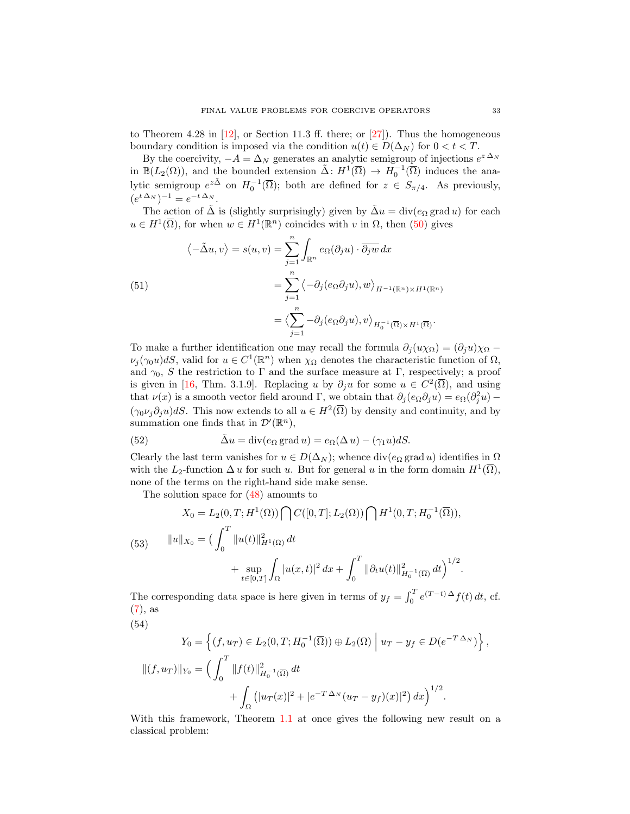to Theorem 4.28 in  $[12]$ , or Section 11.3 ff. there; or  $[27]$ ). Thus the homogeneous boundary condition is imposed via the condition  $u(t) \in D(\Delta_N)$  for  $0 < t < T$ .

By the coercivity,  $-A = \Delta_N$  generates an analytic semigroup of injections  $e^{z \Delta_N}$ in  $\mathbb{B}(L_2(\Omega))$ , and the bounded extension  $\tilde{\Delta}: H^1(\overline{\Omega}) \to H_0^{-1}(\overline{\Omega})$  induces the analytic semigroup  $e^{z\tilde{\Delta}}$  on  $H_0^{-1}(\overline{\Omega})$ ; both are defined for  $z \in S_{\pi/4}$ . As previously,  $(e^{t \Delta_N})^{-1} = e^{-t \Delta_N}.$ 

The action of  $\tilde{\Delta}$  is (slightly surprisingly) given by  $\tilde{\Delta}u = \text{div}(e_{\Omega} \text{ grad } u)$  for each  $u \in H^1(\overline{\Omega})$ , for when  $w \in H^1(\mathbb{R}^n)$  coincides with v in  $\Omega$ , then  $(50)$  gives

(51)  
\n
$$
\langle -\tilde{\Delta}u, v \rangle = s(u, v) = \sum_{j=1}^{n} \int_{\mathbb{R}^n} e_{\Omega}(\partial_j u) \cdot \overline{\partial_j w} dx
$$
\n
$$
= \sum_{j=1}^{n} \langle -\partial_j (e_{\Omega} \partial_j u), w \rangle_{H^{-1}(\mathbb{R}^n) \times H^1(\mathbb{R}^n)}
$$
\n
$$
= \langle \sum_{j=1}^{n} -\partial_j (e_{\Omega} \partial_j u), v \rangle_{H_0^{-1}(\overline{\Omega}) \times H^1(\overline{\Omega})}.
$$

To make a further identification one may recall the formula  $\partial_i(u\chi_{\Omega}) = (\partial_i u)\chi_{\Omega}$  $\nu_j(\gamma_0 u)dS$ , valid for  $u \in C^1(\mathbb{R}^n)$  when  $\chi_{\Omega}$  denotes the characteristic function of  $\Omega$ , and  $\gamma_0$ , S the restriction to Γ and the surface measure at Γ, respectively; a proof is given in [\[16,](#page-15-17) Thm. 3.1.9]. Replacing u by  $\partial_j u$  for some  $u \in C^2(\overline{\Omega})$ , and using that  $\nu(x)$  is a smooth vector field around Γ, we obtain that  $\partial_j(e_{\Omega}\partial_j u) = e_{\Omega}(\partial_j^2 u) (\gamma_0 \nu_j \partial_j u) dS$ . This now extends to all  $u \in H^2(\overline{\Omega})$  by density and continuity, and by summation one finds that in  $\mathcal{D}'(\mathbb{R}^n)$ ,

<span id="page-13-0"></span>(52) 
$$
\tilde{\Delta}u = \text{div}(e_{\Omega} \text{ grad } u) = e_{\Omega}(\Delta u) - (\gamma_1 u)dS.
$$

Clearly the last term vanishes for  $u \in D(\Delta_N)$ ; whence div $(e_{\Omega} \text{ grad } u)$  identifies in  $\Omega$ with the L<sub>2</sub>-function  $\Delta u$  for such u. But for general u in the form domain  $H^1(\overline{\Omega}),$ none of the terms on the right-hand side make sense.

The solution space for [\(48\)](#page-12-1) amounts to

(53) 
$$
X_0 = L_2(0, T; H^1(\Omega)) \bigcap C([0, T]; L_2(\Omega)) \bigcap H^1(0, T; H_0^{-1}(\overline{\Omega})),
$$

$$
\|u\|_{X_0} = \left(\int_0^T \|u(t)\|_{H^1(\Omega)}^2 dt + \sup_{t \in [0, T]} \int_{\Omega} |u(x, t)|^2 dx + \int_0^T \|\partial_t u(t)\|_{H_0^{-1}(\overline{\Omega})}^2 dt\right)^{1/2}.
$$

The corresponding data space is here given in terms of  $y_f = \int_0^T e^{(T-t)\Delta} f(t) dt$ , cf. [\(7\)](#page-3-2), as

(54)

$$
Y_0 = \left\{ (f, u_T) \in L_2(0, T; H_0^{-1}(\overline{\Omega})) \oplus L_2(\Omega) \mid u_T - y_f \in D(e^{-T\Delta_N}) \right\},\
$$
  

$$
\|(f, u_T)\|_{Y_0} = \left( \int_0^T \|f(t)\|_{H_0^{-1}(\overline{\Omega})}^2 dt + \int_{\Omega} (|u_T(x)|^2 + |e^{-T\Delta_N}(u_T - y_f)(x)|^2) dx \right)^{1/2}.
$$

With this framework, Theorem [1.1](#page-3-3) at once gives the following new result on a classical problem: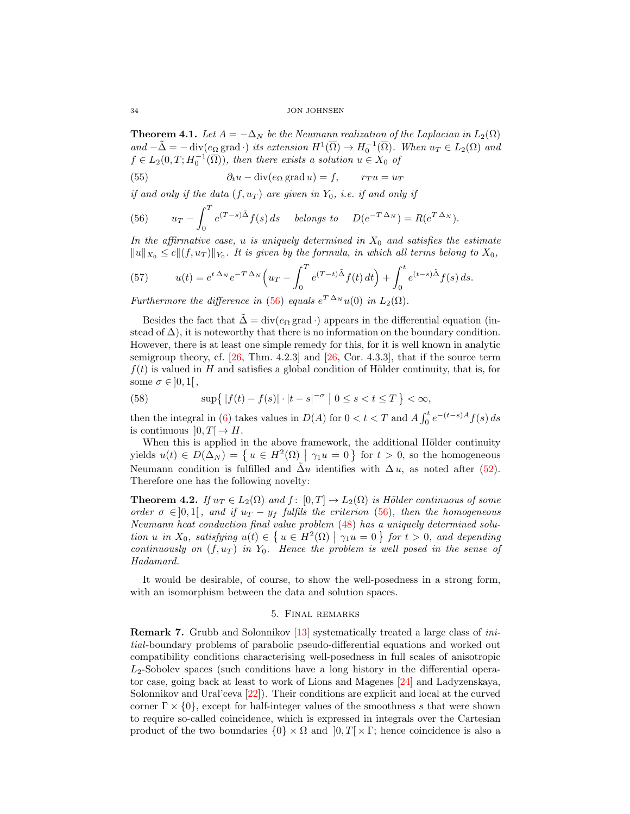**Theorem 4.1.** Let  $A = -\Delta_N$  be the Neumann realization of the Laplacian in  $L_2(\Omega)$ and  $-\tilde{\Delta} = -\operatorname{div}(e_{\Omega} \operatorname{grad} \cdot)$  its extension  $H^1(\overline{\Omega}) \to H_0^{-1}(\overline{\Omega})$ . When  $u_T \in L_2(\Omega)$  and  $f \in L_2(0,T; H_0^{-1}(\overline{\Omega}))$ , then there exists a solution  $u \in X_0$  of

(55) 
$$
\partial_t u - \text{div}(e_\Omega \,\text{grad}\, u) = f, \qquad r_T u = u_T
$$

if and only if the data  $(f, u_T)$  are given in  $Y_0$ , i.e. if and only if

<span id="page-14-1"></span>(56) 
$$
u_T - \int_0^T e^{(T-s)\tilde{\Delta}} f(s) ds \quad \text{ belongs to} \quad D(e^{-T\Delta_N}) = R(e^{T\Delta_N}).
$$

In the affirmative case, u is uniquely determined in  $X_0$  and satisfies the estimate  $||u||_{X_0} \le c||(f, u_T)||_{Y_0}$ . It is given by the formula, in which all terms belong to  $X_0$ ,

(57) 
$$
u(t) = e^{t \Delta_N} e^{-T \Delta_N} \left( u_T - \int_0^T e^{(T-t)\tilde{\Delta}} f(t) dt \right) + \int_0^t e^{(t-s)\tilde{\Delta}} f(s) ds.
$$

Furthermore the difference in [\(56\)](#page-14-1) equals  $e^{T \Delta_N} u(0)$  in  $L_2(\Omega)$ .

Besides the fact that  $\Delta = \text{div}(e_{\Omega} \text{ grad}\cdot)$  appears in the differential equation (instead of  $\Delta$ ), it is noteworthy that there is no information on the boundary condition. However, there is at least one simple remedy for this, for it is well known in analytic semigroup theory, cf. [\[26,](#page-16-5) Thm. 4.2.3] and [\[26,](#page-16-5) Cor. 4.3.3], that if the source term  $f(t)$  is valued in H and satisfies a global condition of Hölder continuity, that is, for some  $\sigma \in ]0,1[$ ,

(58) 
$$
\sup\{|f(t) - f(s)| \cdot |t - s|^{-\sigma} | 0 \le s < t \le T\} < \infty,
$$

then the integral in [\(6\)](#page-2-3) takes values in  $D(A)$  for  $0 < t < T$  and  $A \int_0^t e^{-(t-s)A} f(s) ds$ is continuous  $]0, T[ \rightarrow H.$ 

When this is applied in the above framework, the additional Hölder continuity yields  $u(t) \in D(\Delta_N) = \{u \in H^2(\Omega) \mid \gamma_1 u = 0\}$  for  $t > 0$ , so the homogeneous Neumann condition is fulfilled and  $\Delta u$  identifies with  $\Delta u$ , as noted after [\(52\)](#page-13-0). Therefore one has the following novelty:

**Theorem 4.2.** If  $u_T \in L_2(\Omega)$  and  $f: [0, T] \to L_2(\Omega)$  is Hölder continuous of some order  $\sigma \in ]0,1[$ , and if  $u_T - y_f$  fulfils the criterion [\(56\)](#page-14-1), then the homogeneous Neumann heat conduction final value problem [\(48\)](#page-12-1) has a uniquely determined solution u in  $X_0$ , satisfying  $u(t) \in \{u \in H^2(\Omega) \mid \gamma_1 u = 0\}$  for  $t > 0$ , and depending continuously on  $(f, u_T)$  in  $Y_0$ . Hence the problem is well posed in the sense of Hadamard.

It would be desirable, of course, to show the well-posedness in a strong form, with an isomorphism between the data and solution spaces.

# 5. Final remarks

<span id="page-14-0"></span>Remark 7. Grubb and Solonnikov [\[13\]](#page-15-18) systematically treated a large class of initial-boundary problems of parabolic pseudo-differential equations and worked out compatibility conditions characterising well-posedness in full scales of anisotropic  $L_2$ -Sobolev spaces (such conditions have a long history in the differential operator case, going back at least to work of Lions and Magenes [\[24\]](#page-16-2) and Ladyzenskaya, Solonnikov and Ural'ceva [\[22\]](#page-16-11)). Their conditions are explicit and local at the curved corner  $\Gamma \times \{0\}$ , except for half-integer values of the smoothness s that were shown to require so-called coincidence, which is expressed in integrals over the Cartesian product of the two boundaries  $\{0\} \times \Omega$  and  $[0, T] \times \Gamma$ ; hence coincidence is also a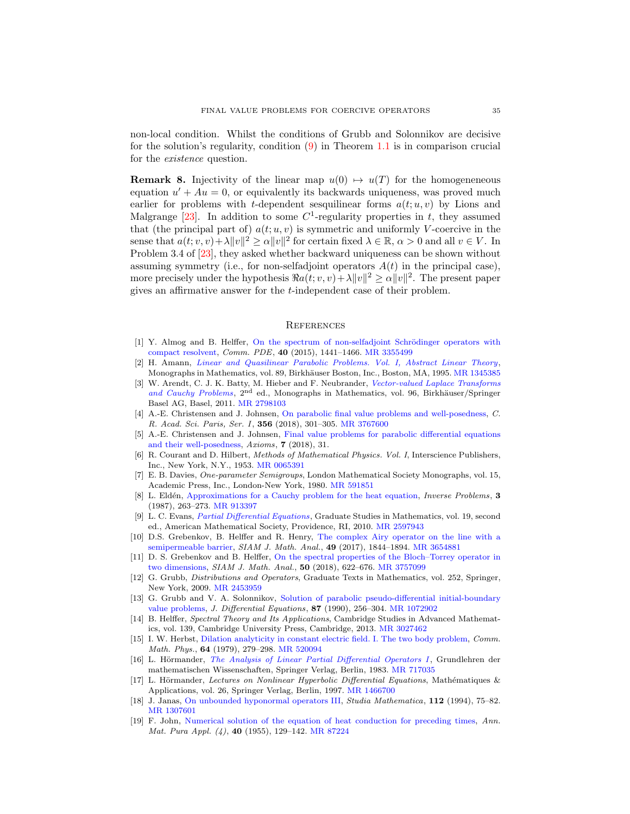non-local condition. Whilst the conditions of Grubb and Solonnikov are decisive for the solution's regularity, condition  $(9)$  in Theorem [1.1](#page-3-3) is in comparison crucial for the existence question.

**Remark 8.** Injectivity of the linear map  $u(0) \rightarrow u(T)$  for the homogeneneous equation  $u' + Au = 0$ , or equivalently its backwards uniqueness, was proved much earlier for problems with t-dependent sesquilinear forms  $a(t; u, v)$  by Lions and Malgrange [\[23\]](#page-16-12). In addition to some  $C^1$ -regularity properties in t, they assumed that (the principal part of)  $a(t; u, v)$  is symmetric and uniformly V-coercive in the sense that  $a(t; v, v) + \lambda ||v||^2 \ge \alpha ||v||^2$  for certain fixed  $\lambda \in \mathbb{R}, \alpha > 0$  and all  $v \in V$ . In Problem 3.4 of [\[23\]](#page-16-12), they asked whether backward uniqueness can be shown without assuming symmetry (i.e., for non-selfadjoint operators  $A(t)$  in the principal case), more precisely under the hypothesis  $\Re a(t; v, v) + \lambda ||v||^2 \ge \alpha ||v||^2$ . The present paper gives an affirmative answer for the t-independent case of their problem.

#### **REFERENCES**

- <span id="page-15-10"></span>[1] Y. Almog and B. Helffer, On the spectrum of non-selfadjoint Schrödinger operators with [compact resolvent,](http://dx.doi.org/10.1080/03605302.2015.1025978) Comm. PDE, 40 (2015), 1441–1466. [MR 3355499](http://www.ams.org/mathscinet-getitem?mr=3355499&return=pdf)
- <span id="page-15-4"></span>[2] H. Amann, [Linear and Quasilinear Parabolic Problems. Vol. I, Abstract Linear Theory](http://dx.doi.org/10.1007/978-3-0348-9221-6), Monographs in Mathematics, vol. 89, Birkhäuser Boston, Inc., Boston, MA, 1995. [MR 1345385](http://www.ams.org/mathscinet-getitem?mr=1345385&return=pdf)
- <span id="page-15-15"></span>[3] W. Arendt, C. J. K. Batty, M. Hieber and F. Neubrander, [Vector-valued Laplace Transforms](http://dx.doi.org/10.1007/978-3-0348-0087-7) [and Cauchy Problems](http://dx.doi.org/10.1007/978-3-0348-0087-7),  $2<sup>nd</sup>$  ed., Monographs in Mathematics, vol. 96, Birkhäuser/Springer Basel AG, Basel, 2011. [MR 2798103](http://www.ams.org/mathscinet-getitem?mr=2798103&return=pdf)
- <span id="page-15-1"></span>[4] A.-E. Christensen and J. Johnsen, [On parabolic final value problems and well-posedness,](http://dx.doi.org/10.1016/j.crma.2018.01.019) C. R. Acad. Sci. Paris, Ser. I, 356 (2018), 301-305. [MR 3767600](http://www.ams.org/mathscinet-getitem?mr=3767600&return=pdf)
- <span id="page-15-0"></span>[5] A.-E. Christensen and J. Johnsen, [Final value problems for parabolic differential equations](http://dx.doi.org/10.3390/axioms7020031) [and their well-posedness,](http://dx.doi.org/10.3390/axioms7020031) Axioms, 7 (2018), 31.
- <span id="page-15-9"></span>[6] R. Courant and D. Hilbert, Methods of Mathematical Physics. Vol. I, Interscience Publishers, Inc., New York, N.Y., 1953. [MR 0065391](http://www.ams.org/mathscinet-getitem?mr=0065391&return=pdf)
- <span id="page-15-14"></span>[7] E. B. Davies, One-parameter Semigroups, London Mathematical Society Monographs, vol. 15, Academic Press, Inc., London-New York, 1980. [MR 591851](http://www.ams.org/mathscinet-getitem?mr=591851&return=pdf)
- <span id="page-15-6"></span>[8] L. Eldén, [Approximations for a Cauchy problem for the heat equation,](http://dx.doi.org/10.1088/0266-5611/3/2/009) Inverse Problems, 3 (1987), 263–273. [MR 913397](http://www.ams.org/mathscinet-getitem?mr=913397&return=pdf)
- <span id="page-15-8"></span>[9] L. C. Evans, [Partial Differential Equations](http://dx.doi.org/10.1090/gsm/019), Graduate Studies in Mathematics, vol. 19, second ed., American Mathematical Society, Providence, RI, 2010. [MR 2597943](http://www.ams.org/mathscinet-getitem?mr=2597943&return=pdf)
- <span id="page-15-11"></span>[10] D.S. Grebenkov, B. Helffer and R. Henry, [The complex Airy operator on the line with a](http://dx.doi.org/10.1137/16M1067408) [semipermeable barrier,](http://dx.doi.org/10.1137/16M1067408) SIAM J. Math. Anal., 49 (2017), 1844–1894. [MR 3654881](http://www.ams.org/mathscinet-getitem?mr=3654881&return=pdf)
- <span id="page-15-12"></span>[11] D. S. Grebenkov and B. Helffer, [On the spectral properties of the Bloch–Torrey operator in](http://dx.doi.org/10.1137/16M1088387) [two dimensions,](http://dx.doi.org/10.1137/16M1088387) SIAM J. Math. Anal., 50 (2018), 622–676. [MR 3757099](http://www.ams.org/mathscinet-getitem?mr=3757099&return=pdf)
- <span id="page-15-2"></span>[12] G. Grubb, Distributions and Operators, Graduate Texts in Mathematics, vol. 252, Springer, New York, 2009. [MR 2453959](http://www.ams.org/mathscinet-getitem?mr=2453959&return=pdf)
- <span id="page-15-18"></span>[13] G. Grubb and V. A. Solonnikov, [Solution of parabolic pseudo-differential initial-boundary](http://dx.doi.org/10.1016/0022-0396(90)90003-8) [value problems,](http://dx.doi.org/10.1016/0022-0396(90)90003-8) J. Differential Equations, 87 (1990), 256-304. [MR 1072902](http://www.ams.org/mathscinet-getitem?mr=1072902&return=pdf)
- <span id="page-15-3"></span>[14] B. Helffer, Spectral Theory and Its Applications, Cambridge Studies in Advanced Mathematics, vol. 139, Cambridge University Press, Cambridge, 2013. [MR 3027462](http://www.ams.org/mathscinet-getitem?mr=3027462&return=pdf)
- <span id="page-15-13"></span>[15] I. W. Herbst, [Dilation analyticity in constant electric field. I. The two body problem,](http://dx.doi.org/10.1007/BF01221735) Comm. Math. Phys., 64 (1979), 279–298. [MR 520094](http://www.ams.org/mathscinet-getitem?mr=520094&return=pdf)
- <span id="page-15-17"></span>[16] L. Hörmander, [The Analysis of Linear Partial Differential Operators I](http://dx.doi.org/10.1007/978-3-642-96750-4), Grundlehren der mathematischen Wissenschaften, Springer Verlag, Berlin, 1983. [MR 717035](http://www.ams.org/mathscinet-getitem?mr=717035&return=pdf)
- <span id="page-15-16"></span>[17] L. Hörmander, Lectures on Nonlinear Hyperbolic Differential Equations, Mathématiques & Applications, vol. 26, Springer Verlag, Berlin, 1997. [MR 1466700](http://www.ams.org/mathscinet-getitem?mr=1466700&return=pdf)
- <span id="page-15-7"></span>[18] J. Janas, [On unbounded hyponormal operators III,](http://dx.doi.org/10.4064/sm-112-1-75-82) Studia Mathematica, 112 (1994), 75–82. [MR 1307601](http://www.ams.org/mathscinet-getitem?mr=1307601&return=pdf)
- <span id="page-15-5"></span>[19] F. John, [Numerical solution of the equation of heat conduction for preceding times,](http://dx.doi.org/10.1007/BF02416528) Ann. Mat. Pura Appl. (4), 40 (1955), 129–142. [MR 87224](http://www.ams.org/mathscinet-getitem?mr=87224&return=pdf)